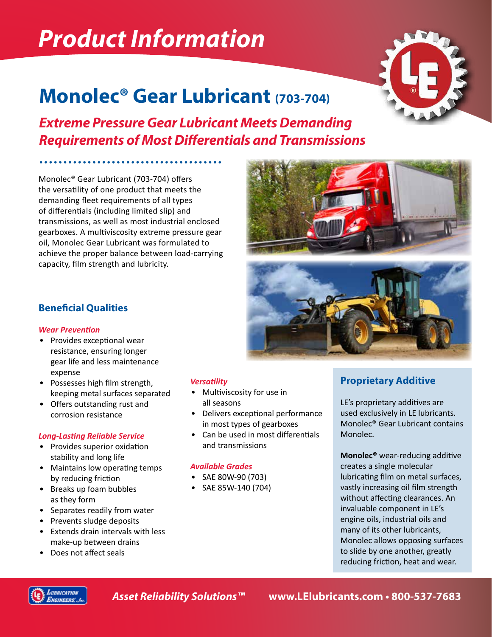# *Product Information*

# **Monolec® Gear Lubricant (703-704)**

*Extreme Pressure Gear Lubricant Meets Demanding Requirements of Most Differentials and Transmissions*

Monolec® Gear Lubricant (703-704) offers the versatility of one product that meets the demanding fleet requirements of all types of differentials (including limited slip) and transmissions, as well as most industrial enclosed gearboxes. A multiviscosity extreme pressure gear oil, Monolec Gear Lubricant was formulated to achieve the proper balance between load-carrying capacity, film strength and lubricity.





### **Beneficial Qualities**

### *Wear Prevention*

- Provides exceptional wear resistance, ensuring longer gear life and less maintenance expense
- Possesses high film strength, keeping metal surfaces separated
- Offers outstanding rust and corrosion resistance

### *Long-Lasting Reliable Service*

- Provides superior oxidation stability and long life
- Maintains low operating temps by reducing friction
- Breaks up foam bubbles as they form
- Separates readily from water
- Prevents sludge deposits
- Extends drain intervals with less make-up between drains
- Does not affect seals

### *Versatility*

- Multiviscosity for use in all seasons
- Delivers exceptional performance in most types of gearboxes
- Can be used in most differentials and transmissions

### *Available Grades*

- SAE 80W-90 (703)
- SAE 85W-140 (704)



LE's proprietary additives are used exclusively in LE lubricants. Monolec® Gear Lubricant contains Monolec.

**Monolec®** wear-reducing additive creates a single molecular lubricating film on metal surfaces, vastly increasing oil film strength without affecting clearances. An invaluable component in LE's engine oils, industrial oils and many of its other lubricants, Monolec allows opposing surfaces to slide by one another, greatly reducing friction, heat and wear.